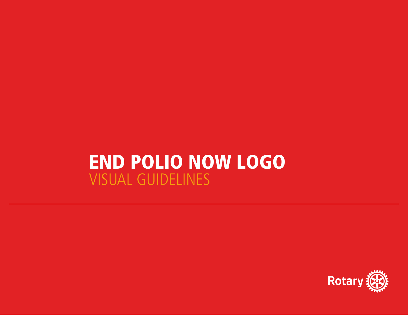# END POLIO NOW LOGO VISUAL GUIDELINES

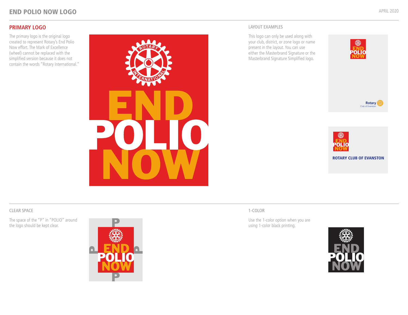# **PRIMARY LOGO**

The primary logo is the original logo created to represent Rotary's End Polio Now effort. The Mark of Excellence (wheel) cannot be replaced with the simplified version because it does not contain the words "Rotary International."



#### LAYOUT EXAMPLES

This logo can only be used along with your club, district, or zone logo or name present in the layout. You can use either the Masterbrand Signature or the Masterbrand Signature Simplified logo.







#### 1-COLOR

Use the 1-color option when you are using 1-color black printing.



### CLEAR SPACE

The space of the "P" in "POLIO" around the logo should be kept clear.

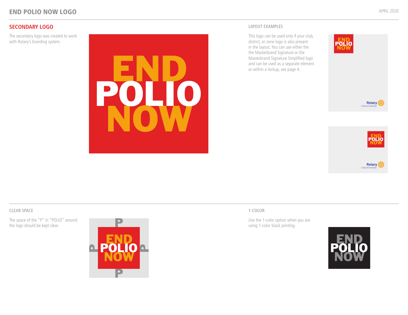The secondary logo was created to work with Rotary's branding system.



This logo can be used only if your club, district, or zone logo is also present in the layout. You can use either the the Masterbrand Signature or the Masterbrand Signature Simplified logo and can be used as a separate element or within a lockup, see page 4.







### CLEAR SPACE

The space of the "P" in "POLIO" around the logo should be kept clear.



### 1-COLOR

Use the 1-color option when you are using 1-color black printing.

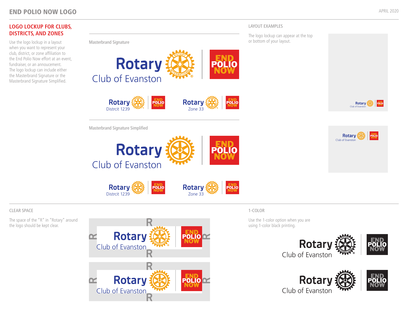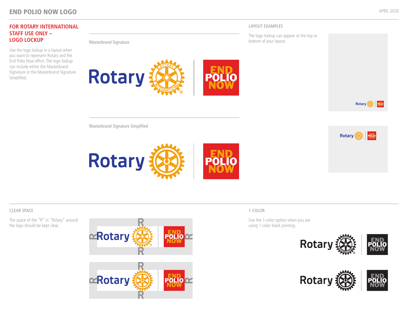# END POLIO NOW LOGO



## CLEAR SPACE

The space of the "R" in "Rotary" around the logo should be kept clear.





### 1-COLOR

Use the 1-color option when you are using 1-color black printing.



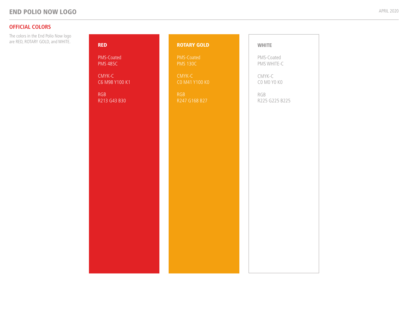# **OFFICIAL COLORS**

| The colors in the End Polio Now logo<br>are RED, ROTARY GOLD, and WHITE. | <b>RED</b>                    | <b>ROTARY GOLD</b>            | <b>WHITE</b>              |
|--------------------------------------------------------------------------|-------------------------------|-------------------------------|---------------------------|
|                                                                          | PMS-Coated<br><b>PMS 485C</b> | PMS-Coated<br><b>PMS 130C</b> | PMS-Coated<br>PMS WHITE-C |
|                                                                          | CMYK-C<br>C6 M98 Y100 K1      | CMYK-C<br>CO M41 Y100 KO      | CMYK-C<br>CO MO YO KO     |
|                                                                          | <b>RGB</b><br>R213 G43 B30    | <b>RGB</b><br>R247 G168 B27   | RGB<br>R225 G225 B225     |
|                                                                          |                               |                               |                           |
|                                                                          |                               |                               |                           |
|                                                                          |                               |                               |                           |
|                                                                          |                               |                               |                           |
|                                                                          |                               |                               |                           |
|                                                                          |                               |                               |                           |
|                                                                          |                               |                               |                           |
|                                                                          |                               |                               |                           |
|                                                                          |                               |                               |                           |